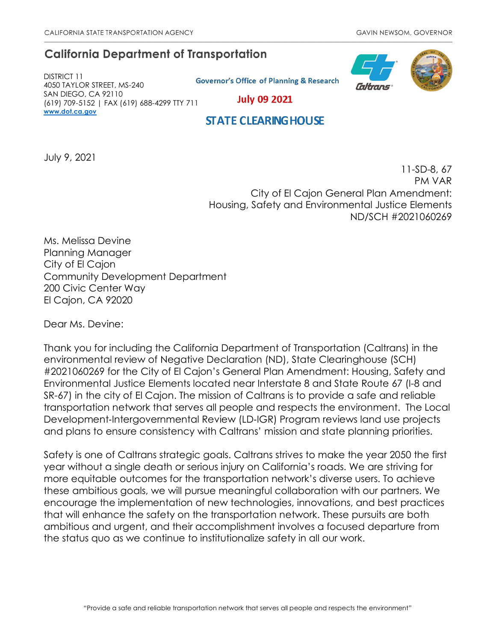# **California Department of Transportation**

DISTRICT 11 4050 TAYLOR STREET, MS-240 SAN DIEGO, CA 92110 (619) 709-5152 | FAX (619) 688-4299 TTY 711 **[www.dot.ca.gov](http://www.dot.ca.gov/)**

**Governor's Office of Planning & Research** 



**July 09 2021** 

## **STATE CLEARING HOUSE**

July 9, 2021

11-SD-8, 67 PM VAR City of El Cajon General Plan Amendment: Housing, Safety and Environmental Justice Elements ND/SCH #2021060269

Ms. Melissa Devine Planning Manager City of El Cajon Community Development Department 200 Civic Center Way El Cajon, CA 92020

Dear Ms. Devine:

Thank you for including the California Department of Transportation (Caltrans) in the environmental review of Negative Declaration (ND), State Clearinghouse (SCH) #2021060269 for the City of El Cajon's General Plan Amendment: Housing, Safety and Environmental Justice Elements located near Interstate 8 and State Route 67 (I-8 and SR-67) in the city of El Cajon. The mission of Caltrans is to provide a safe and reliable transportation network that serves all people and respects the environment. The Local Development-Intergovernmental Review (LD-IGR) Program reviews land use projects and plans to ensure consistency with Caltrans' mission and state planning priorities.

Safety is one of Caltrans strategic goals. Caltrans strives to make the year 2050 the first year without a single death or serious injury on California's roads. We are striving for more equitable outcomes for the transportation network's diverse users. To achieve these ambitious goals, we will pursue meaningful collaboration with our partners. We encourage the implementation of new technologies, innovations, and best practices that will enhance the safety on the transportation network. These pursuits are both ambitious and urgent, and their accomplishment involves a focused departure from the status quo as we continue to institutionalize safety in all our work.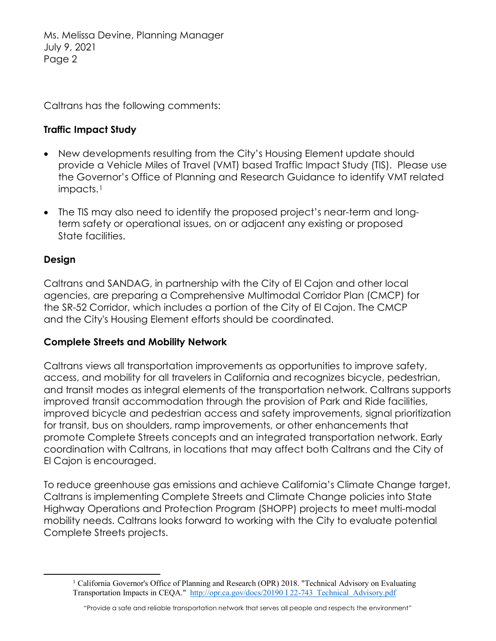Ms. Melissa Devine, Planning Manager July 9, 2021 Page 2

Caltrans has the following comments:

#### **Traffic Impact Study**

- New developments resulting from the City's Housing Element update should provide a Vehicle Miles of Travel (VMT) based Traffic Impact Study (TIS). Please use the Governor's Office of Planning and Research Guidance to identify VMT related impacts.<sup>1</sup>
- The TIS may also need to identify the proposed project's near-term and longterm safety or operational issues, on or adjacent any existing or proposed State facilities.

#### **Design**

Caltrans and SANDAG, in partnership with the City of El Cajon and other local agencies, are preparing a Comprehensive Multimodal Corridor Plan (CMCP) for the SR-52 Corridor, which includes a portion of the City of El Cajon. The CMCP and the City's Housing Element efforts should be coordinated.

#### **Complete Streets and Mobility Network**

Caltrans views all transportation improvements as opportunities to improve safety, access, and mobility for all travelers in California and recognizes bicycle, pedestrian, and transit modes as integral elements of the transportation network. Caltrans supports improved transit accommodation through the provision of Park and Ride facilities, improved bicycle and pedestrian access and safety improvements, signal prioritization for transit, bus on shoulders, ramp improvements, or other enhancements that promote Complete Streets concepts and an integrated transportation network. Early coordination with Caltrans, in locations that may affect both Caltrans and the City of El Cajon is encouraged.

To reduce greenhouse gas emissions and achieve California's Climate Change target, Caltrans is implementing Complete Streets and Climate Change policies into State Highway Operations and Protection Program (SHOPP) projects to meet multi-modal mobility needs. Caltrans looks forward to working with the City to evaluate potential Complete Streets projects.

<span id="page-1-0"></span><sup>&</sup>lt;sup>1</sup> California Governor's Office of Planning and Research (OPR) 2018. "Technical Advisory on Evaluating Transportation Impacts in CEQA." [http://opr.ca.gov/docs/20190 I 22-743\\_Technical\\_Advisory.pdf](http://opr.ca.gov/docs/20190%20I%2022-743_Technical_Advisory.pdf)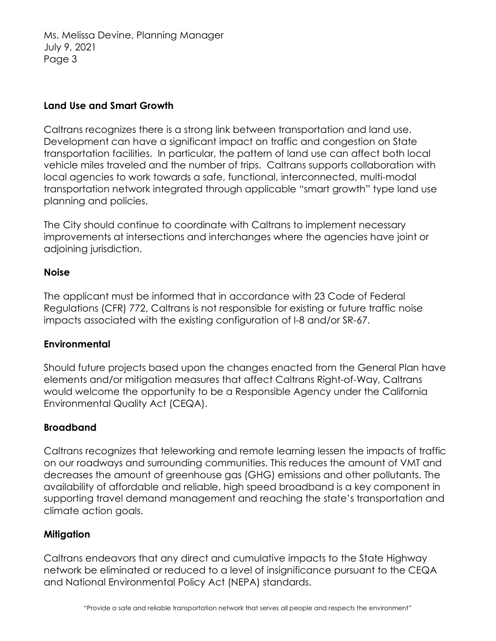Ms. Melissa Devine, Planning Manager July 9, 2021 Page 3

## **Land Use and Smart Growth**

Caltrans recognizes there is a strong link between transportation and land use. Development can have a significant impact on traffic and congestion on State transportation facilities. In particular, the pattern of land use can affect both local vehicle miles traveled and the number of trips. Caltrans supports collaboration with local agencies to work towards a safe, functional, interconnected, multi-modal transportation network integrated through applicable "smart growth" type land use planning and policies.

The City should continue to coordinate with Caltrans to implement necessary improvements at intersections and interchanges where the agencies have joint or adjoining jurisdiction.

# **Noise**

The applicant must be informed that in accordance with 23 Code of Federal Regulations (CFR) 772, Caltrans is not responsible for existing or future traffic noise impacts associated with the existing configuration of I-8 and/or SR-67.

# **Environmental**

Should future projects based upon the changes enacted from the General Plan have elements and/or mitigation measures that affect Caltrans Right-of-Way, Caltrans would welcome the opportunity to be a Responsible Agency under the California Environmental Quality Act (CEQA).

# **Broadband**

Caltrans recognizes that teleworking and remote learning lessen the impacts of traffic on our roadways and surrounding communities. This reduces the amount of VMT and decreases the amount of greenhouse gas (GHG) emissions and other pollutants. The availability of affordable and reliable, high speed broadband is a key component in supporting travel demand management and reaching the state's transportation and climate action goals.

#### **Mitigation**

Caltrans endeavors that any direct and cumulative impacts to the State Highway network be eliminated or reduced to a level of insignificance pursuant to the CEQA and National Environmental Policy Act (NEPA) standards.